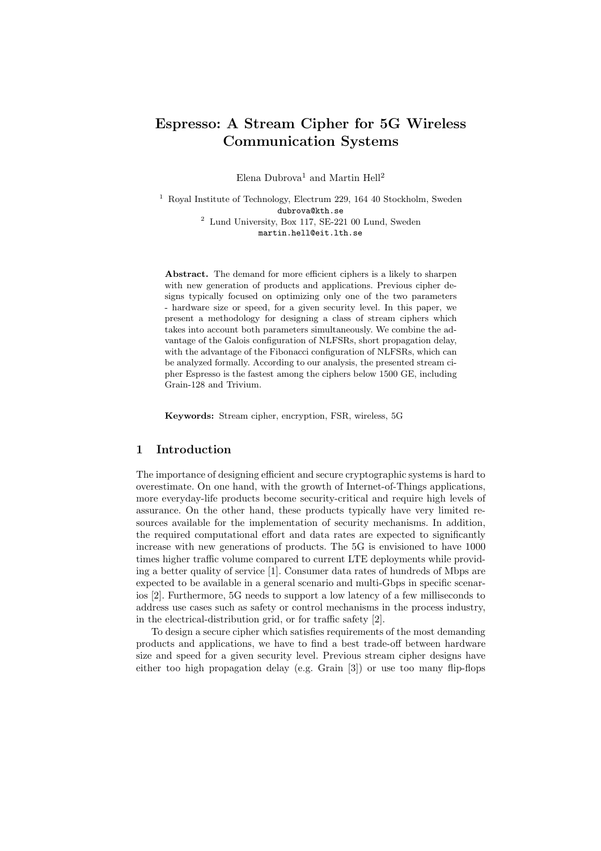# Espresso: A Stream Cipher for 5G Wireless Communication Systems

Elena Dubrova<sup>1</sup> and Martin Hell<sup>2</sup>

<sup>1</sup> Royal Institute of Technology, Electrum 229, 164 40 Stockholm, Sweden dubrova@kth.se <sup>2</sup> Lund University, Box 117, SE-221 00 Lund, Sweden martin.hell@eit.lth.se

Abstract. The demand for more efficient ciphers is a likely to sharpen with new generation of products and applications. Previous cipher designs typically focused on optimizing only one of the two parameters - hardware size or speed, for a given security level. In this paper, we present a methodology for designing a class of stream ciphers which takes into account both parameters simultaneously. We combine the advantage of the Galois configuration of NLFSRs, short propagation delay, with the advantage of the Fibonacci configuration of NLFSRs, which can be analyzed formally. According to our analysis, the presented stream cipher Espresso is the fastest among the ciphers below 1500 GE, including Grain-128 and Trivium.

Keywords: Stream cipher, encryption, FSR, wireless, 5G

# 1 Introduction

The importance of designing efficient and secure cryptographic systems is hard to overestimate. On one hand, with the growth of Internet-of-Things applications, more everyday-life products become security-critical and require high levels of assurance. On the other hand, these products typically have very limited resources available for the implementation of security mechanisms. In addition, the required computational effort and data rates are expected to significantly increase with new generations of products. The 5G is envisioned to have 1000 times higher traffic volume compared to current LTE deployments while providing a better quality of service [1]. Consumer data rates of hundreds of Mbps are expected to be available in a general scenario and multi-Gbps in specific scenarios [2]. Furthermore, 5G needs to support a low latency of a few milliseconds to address use cases such as safety or control mechanisms in the process industry, in the electrical-distribution grid, or for traffic safety [2].

To design a secure cipher which satisfies requirements of the most demanding products and applications, we have to find a best trade-off between hardware size and speed for a given security level. Previous stream cipher designs have either too high propagation delay (e.g. Grain [3]) or use too many flip-flops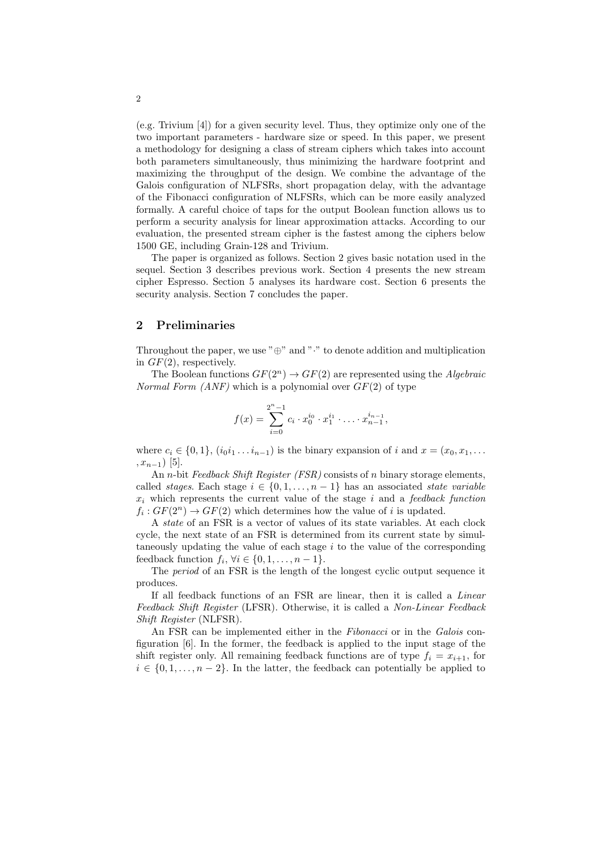(e.g. Trivium [4]) for a given security level. Thus, they optimize only one of the two important parameters - hardware size or speed. In this paper, we present a methodology for designing a class of stream ciphers which takes into account both parameters simultaneously, thus minimizing the hardware footprint and maximizing the throughput of the design. We combine the advantage of the Galois configuration of NLFSRs, short propagation delay, with the advantage of the Fibonacci configuration of NLFSRs, which can be more easily analyzed formally. A careful choice of taps for the output Boolean function allows us to perform a security analysis for linear approximation attacks. According to our evaluation, the presented stream cipher is the fastest among the ciphers below 1500 GE, including Grain-128 and Trivium.

The paper is organized as follows. Section 2 gives basic notation used in the sequel. Section 3 describes previous work. Section 4 presents the new stream cipher Espresso. Section 5 analyses its hardware cost. Section 6 presents the security analysis. Section 7 concludes the paper.

## 2 Preliminaries

Throughout the paper, we use " $\oplus$ " and "<sup>\*</sup>" to denote addition and multiplication in  $GF(2)$ , respectively.

The Boolean functions  $GF(2^n) \rightarrow GF(2)$  are represented using the *Algebraic Normal Form (ANF)* which is a polynomial over  $GF(2)$  of type

$$
f(x) = \sum_{i=0}^{2^{n}-1} c_i \cdot x_0^{i_0} \cdot x_1^{i_1} \cdot \ldots \cdot x_{n-1}^{i_{n-1}},
$$

where  $c_i \in \{0, 1\}, (i_0 i_1 \dots i_{n-1})$  is the binary expansion of i and  $x = (x_0, x_1, \dots)$  $(x_{n-1})$  [5].

An *n*-bit Feedback Shift Register (FSR) consists of *n* binary storage elements, called *stages*. Each stage  $i \in \{0, 1, \ldots, n-1\}$  has an associated *state variable*  $x_i$  which represents the current value of the stage i and a feedback function  $f_i: GF(2^n) \to GF(2)$  which determines how the value of i is updated.

A state of an FSR is a vector of values of its state variables. At each clock cycle, the next state of an FSR is determined from its current state by simultaneously updating the value of each stage  $i$  to the value of the corresponding feedback function  $f_i, \forall i \in \{0, 1, \ldots, n-1\}.$ 

The period of an FSR is the length of the longest cyclic output sequence it produces.

If all feedback functions of an FSR are linear, then it is called a Linear Feedback Shift Register (LFSR). Otherwise, it is called a Non-Linear Feedback Shift Register (NLFSR).

An FSR can be implemented either in the *Fibonacci* or in the *Galois* configuration [6]. In the former, the feedback is applied to the input stage of the shift register only. All remaining feedback functions are of type  $f_i = x_{i+1}$ , for  $i \in \{0, 1, \ldots, n-2\}$ . In the latter, the feedback can potentially be applied to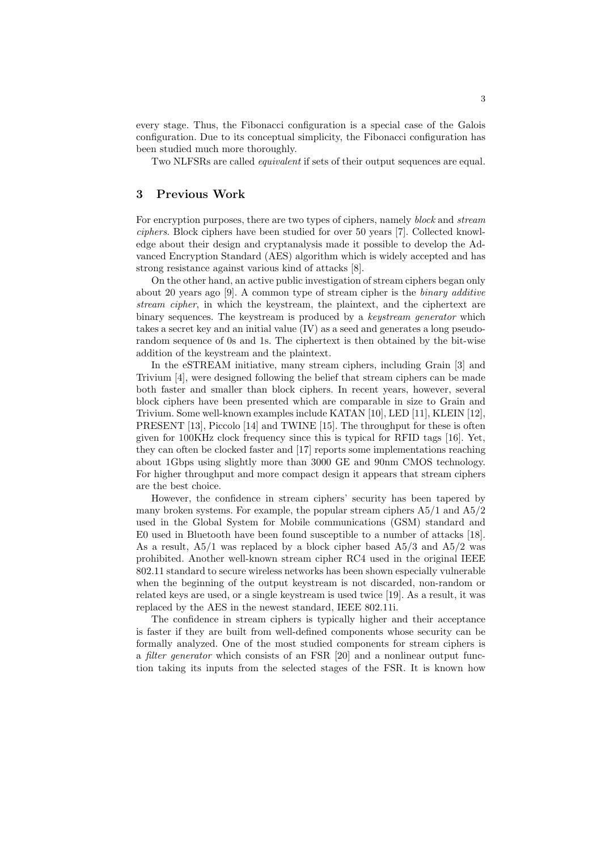every stage. Thus, the Fibonacci configuration is a special case of the Galois configuration. Due to its conceptual simplicity, the Fibonacci configuration has been studied much more thoroughly.

Two NLFSRs are called equivalent if sets of their output sequences are equal.

## 3 Previous Work

For encryption purposes, there are two types of ciphers, namely *block* and *stream* ciphers. Block ciphers have been studied for over 50 years [7]. Collected knowledge about their design and cryptanalysis made it possible to develop the Advanced Encryption Standard (AES) algorithm which is widely accepted and has strong resistance against various kind of attacks [8].

On the other hand, an active public investigation of stream ciphers began only about 20 years ago [9]. A common type of stream cipher is the binary additive stream cipher, in which the keystream, the plaintext, and the ciphertext are binary sequences. The keystream is produced by a keystream generator which takes a secret key and an initial value (IV) as a seed and generates a long pseudorandom sequence of 0s and 1s. The ciphertext is then obtained by the bit-wise addition of the keystream and the plaintext.

In the eSTREAM initiative, many stream ciphers, including Grain [3] and Trivium [4], were designed following the belief that stream ciphers can be made both faster and smaller than block ciphers. In recent years, however, several block ciphers have been presented which are comparable in size to Grain and Trivium. Some well-known examples include KATAN [10], LED [11], KLEIN [12], PRESENT [13], Piccolo [14] and TWINE [15]. The throughput for these is often given for 100KHz clock frequency since this is typical for RFID tags [16]. Yet, they can often be clocked faster and [17] reports some implementations reaching about 1Gbps using slightly more than 3000 GE and 90nm CMOS technology. For higher throughput and more compact design it appears that stream ciphers are the best choice.

However, the confidence in stream ciphers' security has been tapered by many broken systems. For example, the popular stream ciphers  $A5/1$  and  $A5/2$ used in the Global System for Mobile communications (GSM) standard and E0 used in Bluetooth have been found susceptible to a number of attacks [18]. As a result,  $A5/1$  was replaced by a block cipher based  $A5/3$  and  $A5/2$  was prohibited. Another well-known stream cipher RC4 used in the original IEEE 802.11 standard to secure wireless networks has been shown especially vulnerable when the beginning of the output keystream is not discarded, non-random or related keys are used, or a single keystream is used twice [19]. As a result, it was replaced by the AES in the newest standard, IEEE 802.11i.

The confidence in stream ciphers is typically higher and their acceptance is faster if they are built from well-defined components whose security can be formally analyzed. One of the most studied components for stream ciphers is a filter generator which consists of an FSR [20] and a nonlinear output function taking its inputs from the selected stages of the FSR. It is known how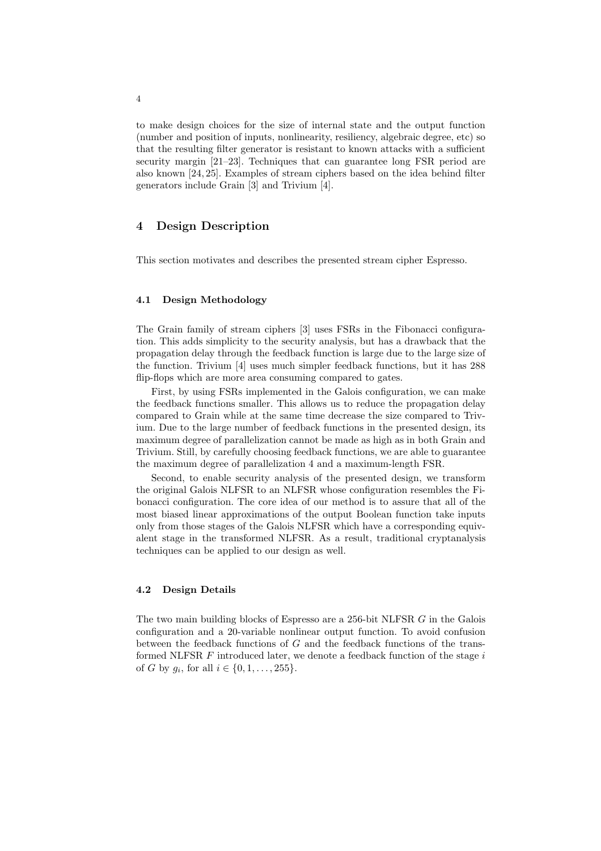to make design choices for the size of internal state and the output function (number and position of inputs, nonlinearity, resiliency, algebraic degree, etc) so that the resulting filter generator is resistant to known attacks with a sufficient security margin [21–23]. Techniques that can guarantee long FSR period are also known [24, 25]. Examples of stream ciphers based on the idea behind filter generators include Grain [3] and Trivium [4].

## 4 Design Description

This section motivates and describes the presented stream cipher Espresso.

#### 4.1 Design Methodology

The Grain family of stream ciphers [3] uses FSRs in the Fibonacci configuration. This adds simplicity to the security analysis, but has a drawback that the propagation delay through the feedback function is large due to the large size of the function. Trivium [4] uses much simpler feedback functions, but it has 288 flip-flops which are more area consuming compared to gates.

First, by using FSRs implemented in the Galois configuration, we can make the feedback functions smaller. This allows us to reduce the propagation delay compared to Grain while at the same time decrease the size compared to Trivium. Due to the large number of feedback functions in the presented design, its maximum degree of parallelization cannot be made as high as in both Grain and Trivium. Still, by carefully choosing feedback functions, we are able to guarantee the maximum degree of parallelization 4 and a maximum-length FSR.

Second, to enable security analysis of the presented design, we transform the original Galois NLFSR to an NLFSR whose configuration resembles the Fibonacci configuration. The core idea of our method is to assure that all of the most biased linear approximations of the output Boolean function take inputs only from those stages of the Galois NLFSR which have a corresponding equivalent stage in the transformed NLFSR. As a result, traditional cryptanalysis techniques can be applied to our design as well.

#### 4.2 Design Details

The two main building blocks of Espresso are a 256-bit NLFSR G in the Galois configuration and a 20-variable nonlinear output function. To avoid confusion between the feedback functions of  $G$  and the feedback functions of the transformed NLFSR  ${\cal F}$  introduced later, we denote a feedback function of the stage  $i$ of G by  $g_i$ , for all  $i \in \{0, 1, ..., 255\}.$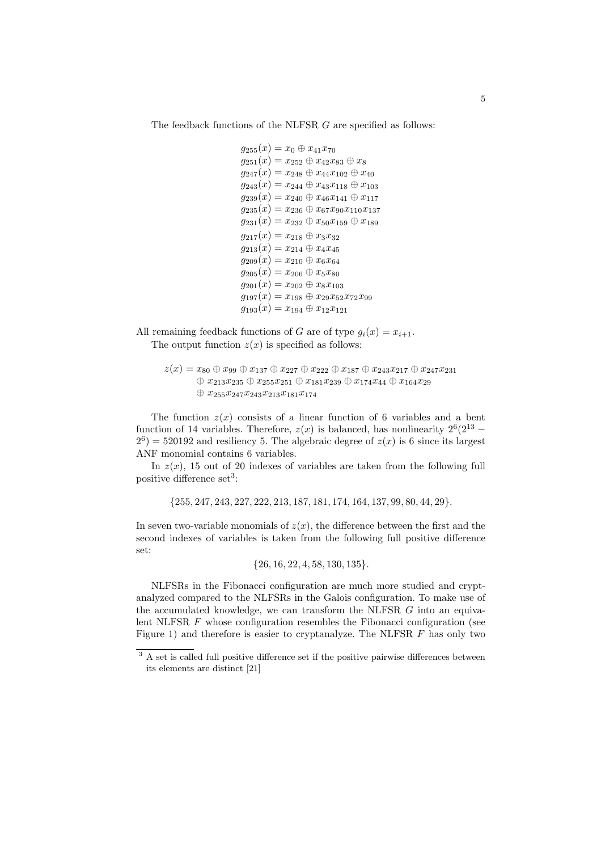The feedback functions of the NLFSR G are specified as follows:

 $g_{255}(x) = x_0 \oplus x_{41}x_{70}$  $g_{251}(x) = x_{252} \oplus x_{42}x_{83} \oplus x_8$  $q_{247}(x) = x_{248} \oplus x_{44}x_{102} \oplus x_{40}$  $g_{243}(x) = x_{244} \oplus x_{43}x_{118} \oplus x_{103}$  $g_{239}(x) = x_{240} \oplus x_{46}x_{141} \oplus x_{117}$  $g_{235}(x) = x_{236} \oplus x_{67}x_{90}x_{110}x_{137}$  $g_{231}(x) = x_{232} \oplus x_{50}x_{159} \oplus x_{189}$  $g_{217}(x) = x_{218} \oplus x_3x_{32}$  $g_{213}(x) = x_{214} \oplus x_4x_{45}$  $g_{209}(x) = x_{210} \oplus x_6x_{64}$  $g_{205}(x) = x_{206} \oplus x_5x_{80}$  $g_{201}(x) = x_{202} \oplus x_8x_{103}$  $g_{197}(x) = x_{198} \oplus x_{29}x_{52}x_{72}x_{99}$  $g_{193}(x) = x_{194} \oplus x_{12}x_{121}$ 

All remaining feedback functions of G are of type  $q_i(x) = x_{i+1}$ . The output function  $z(x)$  is specified as follows:

$$
z(x) = x_{80} \oplus x_{99} \oplus x_{137} \oplus x_{227} \oplus x_{222} \oplus x_{187} \oplus x_{243} x_{217} \oplus x_{247} x_{231}
$$
  

$$
\oplus x_{213} x_{235} \oplus x_{255} x_{251} \oplus x_{181} x_{239} \oplus x_{174} x_{44} \oplus x_{164} x_{29}
$$
  

$$
\oplus x_{255} x_{247} x_{243} x_{213} x_{181} x_{174}
$$

The function  $z(x)$  consists of a linear function of 6 variables and a bent function of 14 variables. Therefore,  $z(x)$  is balanced, has nonlinearity  $2^{6}(2^{13} 2^6$  = 520192 and resiliency 5. The algebraic degree of  $z(x)$  is 6 since its largest ANF monomial contains 6 variables.

In  $z(x)$ , 15 out of 20 indexes of variables are taken from the following full positive difference set<sup>3</sup>:

{255, 247, 243, 227, 222, 213, 187, 181, 174, 164, 137, 99, 80, 44, 29}.

In seven two-variable monomials of  $z(x)$ , the difference between the first and the second indexes of variables is taken from the following full positive difference set:

{26, 16, 22, 4, 58, 130, 135}.

NLFSRs in the Fibonacci configuration are much more studied and cryptanalyzed compared to the NLFSRs in the Galois configuration. To make use of the accumulated knowledge, we can transform the NLFSR G into an equivalent NLFSR F whose configuration resembles the Fibonacci configuration (see Figure 1) and therefore is easier to cryptanalyze. The NLFSR  $F$  has only two

<sup>&</sup>lt;sup>3</sup> A set is called full positive difference set if the positive pairwise differences between its elements are distinct [21]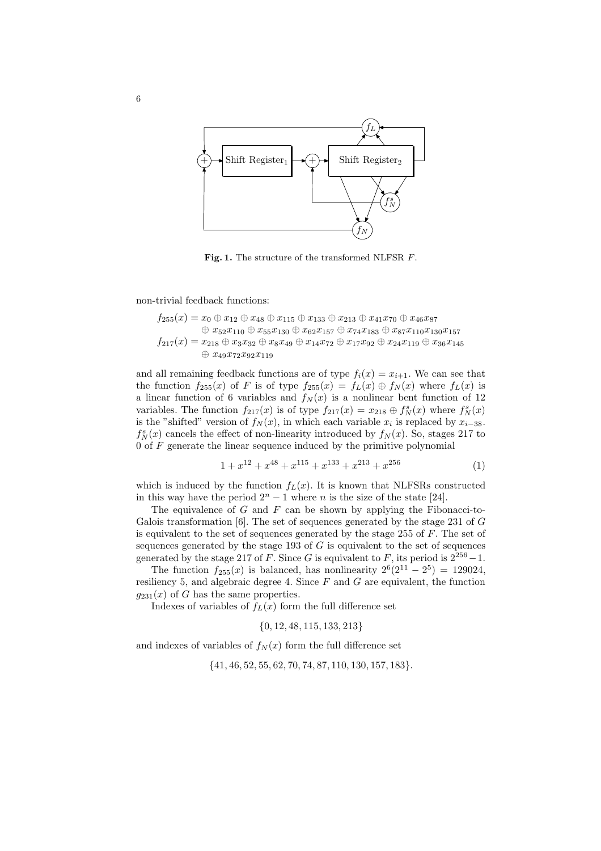

Fig. 1. The structure of the transformed NLFSR F.

non-trivial feedback functions:

$$
f_{255}(x) = x_0 \oplus x_{12} \oplus x_{48} \oplus x_{115} \oplus x_{133} \oplus x_{213} \oplus x_{41}x_{70} \oplus x_{46}x_{87}
$$
  
\n
$$
\oplus x_{52}x_{110} \oplus x_{55}x_{130} \oplus x_{62}x_{157} \oplus x_{74}x_{183} \oplus x_{87}x_{110}x_{130}x_{157}
$$
  
\n
$$
f_{217}(x) = x_{218} \oplus x_3x_{32} \oplus x_8x_{49} \oplus x_{14}x_{72} \oplus x_{17}x_{92} \oplus x_{24}x_{119} \oplus x_{36}x_{145}
$$
  
\n
$$
\oplus x_{49}x_{72}x_{92}x_{119}
$$

and all remaining feedback functions are of type  $f_i(x) = x_{i+1}$ . We can see that the function  $f_{255}(x)$  of F is of type  $f_{255}(x) = f_L(x) \oplus f_N(x)$  where  $f_L(x)$  is a linear function of 6 variables and  $f_N(x)$  is a nonlinear bent function of 12 variables. The function  $f_{217}(x)$  is of type  $f_{217}(x) = x_{218} \oplus f_N^s(x)$  where  $f_N^s(x)$ is the "shifted" version of  $f_N(x)$ , in which each variable  $x_i$  is replaced by  $x_{i-38}$ .  $f_N^s(x)$  cancels the effect of non-linearity introduced by  $f_N(x)$ . So, stages 217 to  $0$  of  $F$  generate the linear sequence induced by the primitive polynomial

$$
1 + x^{12} + x^{48} + x^{115} + x^{133} + x^{213} + x^{256}
$$
 (1)

which is induced by the function  $f_L(x)$ . It is known that NLFSRs constructed in this way have the period  $2<sup>n</sup> - 1$  where *n* is the size of the state [24].

The equivalence of  $G$  and  $F$  can be shown by applying the Fibonacci-to-Galois transformation  $[6]$ . The set of sequences generated by the stage 231 of G is equivalent to the set of sequences generated by the stage  $255$  of  $F$ . The set of sequences generated by the stage 193 of  $G$  is equivalent to the set of sequences generated by the stage 217 of F. Since G is equivalent to F, its period is  $2^{256} - 1$ .

The function  $f_{255}(x)$  is balanced, has nonlinearity  $2^6(2^{11} - 2^5) = 129024$ , resiliency 5, and algebraic degree 4. Since  $F$  and  $G$  are equivalent, the function  $q_{231}(x)$  of G has the same properties.

Indexes of variables of  $f_L(x)$  form the full difference set

$$
\{0,12,48,115,133,213\}
$$

and indexes of variables of  $f_N(x)$  form the full difference set

{41, 46, 52, 55, 62, 70, 74, 87, 110, 130, 157, 183}.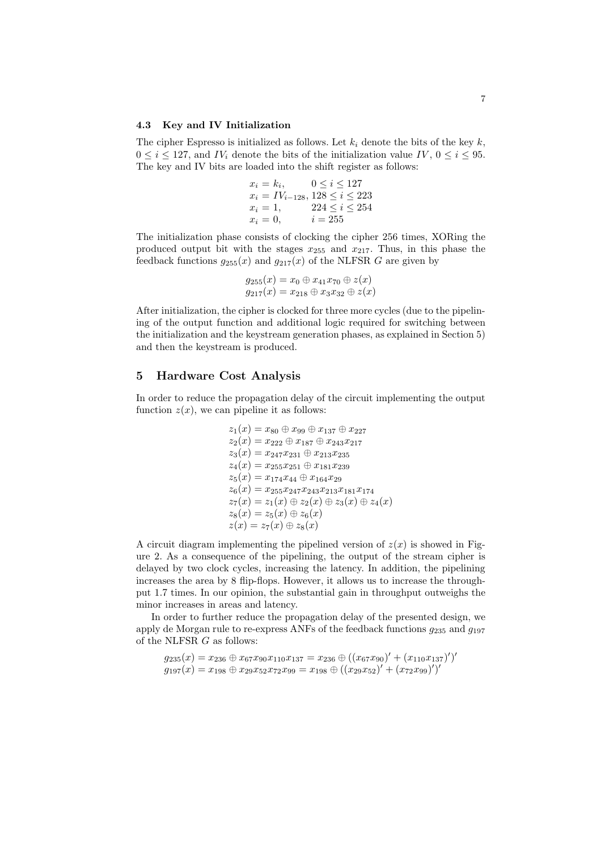#### 4.3 Key and IV Initialization

The cipher Espresso is initialized as follows. Let  $k_i$  denote the bits of the key  $k$ ,  $0 \leq i \leq 127$ , and  $IV_i$  denote the bits of the initialization value  $IV$ ,  $0 \leq i \leq 95$ . The key and IV bits are loaded into the shift register as follows:

$$
x_i = k_i, \t 0 \le i \le 127\n x_i = IV_{i-128}, 128 \le i \le 223\n x_i = 1, \t 224 \le i \le 254\n x_i = 0, \t i = 255
$$

The initialization phase consists of clocking the cipher 256 times, XORing the produced output bit with the stages  $x_{255}$  and  $x_{217}$ . Thus, in this phase the feedback functions  $g_{255}(x)$  and  $g_{217}(x)$  of the NLFSR G are given by

$$
g_{255}(x) = x_0 \oplus x_{41}x_{70} \oplus z(x)
$$
  

$$
g_{217}(x) = x_{218} \oplus x_3x_{32} \oplus z(x)
$$

After initialization, the cipher is clocked for three more cycles (due to the pipelining of the output function and additional logic required for switching between the initialization and the keystream generation phases, as explained in Section 5) and then the keystream is produced.

## 5 Hardware Cost Analysis

In order to reduce the propagation delay of the circuit implementing the output function  $z(x)$ , we can pipeline it as follows:

$$
z_1(x) = x_{80} \oplus x_{99} \oplus x_{137} \oplus x_{227}
$$
  
\n
$$
z_2(x) = x_{222} \oplus x_{187} \oplus x_{243}x_{217}
$$
  
\n
$$
z_3(x) = x_{247}x_{231} \oplus x_{213}x_{235}
$$
  
\n
$$
z_4(x) = x_{255}x_{251} \oplus x_{181}x_{239}
$$
  
\n
$$
z_5(x) = x_{174}x_{44} \oplus x_{164}x_{29}
$$
  
\n
$$
z_6(x) = x_{255}x_{247}x_{243}x_{213}x_{181}x_{174}
$$
  
\n
$$
z_7(x) = z_1(x) \oplus z_2(x) \oplus z_3(x) \oplus z_4(x)
$$
  
\n
$$
z_8(x) = z_5(x) \oplus z_6(x)
$$
  
\n
$$
z(x) = z_7(x) \oplus z_8(x)
$$

A circuit diagram implementing the pipelined version of  $z(x)$  is showed in Figure 2. As a consequence of the pipelining, the output of the stream cipher is delayed by two clock cycles, increasing the latency. In addition, the pipelining increases the area by 8 flip-flops. However, it allows us to increase the throughput 1.7 times. In our opinion, the substantial gain in throughput outweighs the minor increases in areas and latency.

In order to further reduce the propagation delay of the presented design, we apply de Morgan rule to re-express ANFs of the feedback functions  $g_{235}$  and  $g_{197}$ of the NLFSR G as follows:

$$
g_{235}(x) = x_{236} \oplus x_{67}x_{90}x_{110}x_{137} = x_{236} \oplus ((x_{67}x_{90})' + (x_{110}x_{137})')'
$$
  
\n
$$
g_{197}(x) = x_{198} \oplus x_{29}x_{52}x_{72}x_{99} = x_{198} \oplus ((x_{29}x_{52})' + (x_{72}x_{99})')'
$$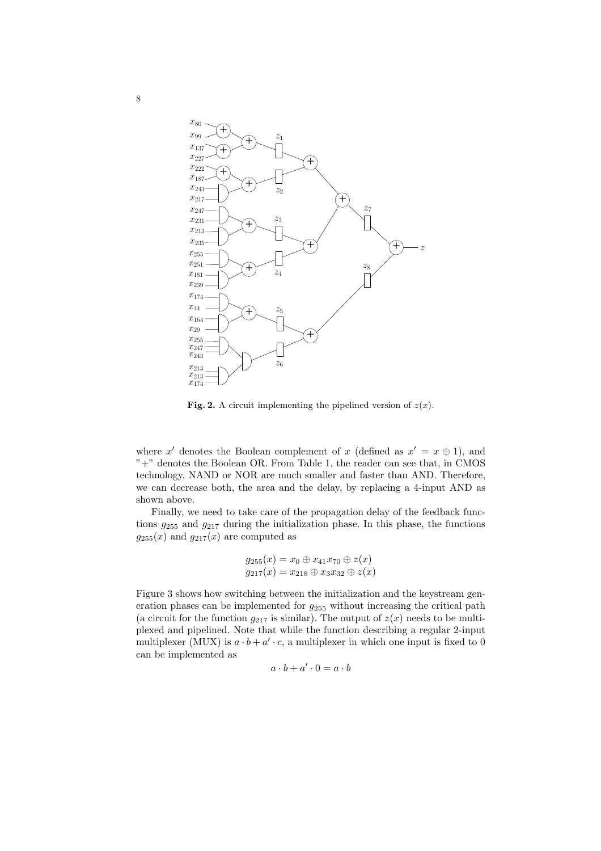

Fig. 2. A circuit implementing the pipelined version of  $z(x)$ .

where x' denotes the Boolean complement of x (defined as  $x' = x \oplus 1$ ), and "+" denotes the Boolean OR. From Table 1, the reader can see that, in CMOS technology, NAND or NOR are much smaller and faster than AND. Therefore, we can decrease both, the area and the delay, by replacing a 4-input AND as shown above.

Finally, we need to take care of the propagation delay of the feedback functions  $g_{255}$  and  $g_{217}$  during the initialization phase. In this phase, the functions  $g_{255}(x)$  and  $g_{217}(x)$  are computed as

$$
g_{255}(x) = x_0 \oplus x_{41}x_{70} \oplus z(x)
$$
  

$$
g_{217}(x) = x_{218} \oplus x_3x_{32} \oplus z(x)
$$

Figure 3 shows how switching between the initialization and the keystream generation phases can be implemented for  $g_{255}$  without increasing the critical path (a circuit for the function  $g_{217}$  is similar). The output of  $z(x)$  needs to be multiplexed and pipelined. Note that while the function describing a regular 2-input multiplexer (MUX) is  $a \cdot b + a' \cdot c$ , a multiplexer in which one input is fixed to 0 can be implemented as

$$
a \cdot b + a' \cdot 0 = a \cdot b
$$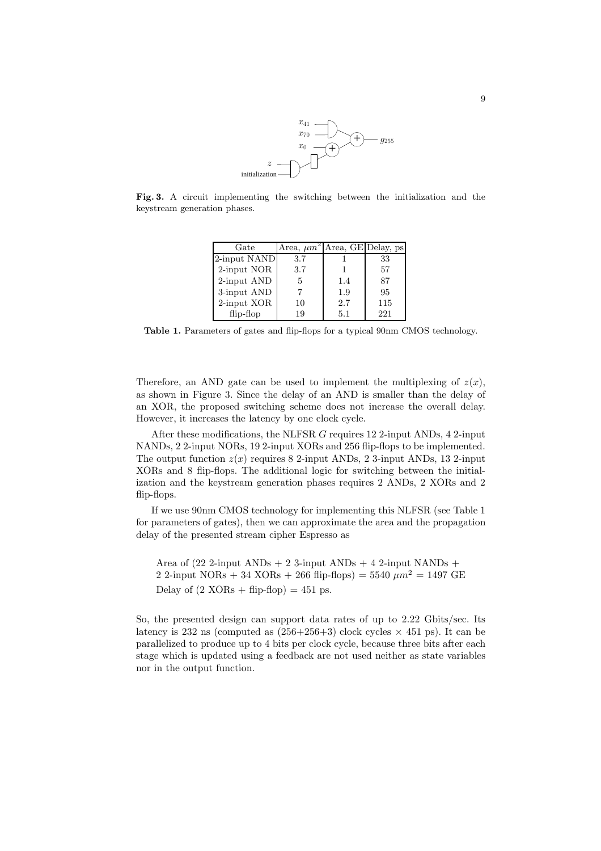

Fig. 3. A circuit implementing the switching between the initialization and the keystream generation phases.

| Gate         | Area, $\mu m^2$ Area, GE Delay, ps |     |     |
|--------------|------------------------------------|-----|-----|
| 2-input NAND | 3.7                                |     | 33  |
| 2-input NOR  | 3.7                                |     | 57  |
| 2-input AND  | 5                                  | 1.4 | 87  |
| 3-input AND  |                                    | 1.9 | 95  |
| 2-input XOR  | 10                                 | 2.7 | 115 |
| flip-flop    | 19                                 | 5.1 | 221 |

Table 1. Parameters of gates and flip-flops for a typical 90nm CMOS technology.

Therefore, an AND gate can be used to implement the multiplexing of  $z(x)$ , as shown in Figure 3. Since the delay of an AND is smaller than the delay of an XOR, the proposed switching scheme does not increase the overall delay. However, it increases the latency by one clock cycle.

After these modifications, the NLFSR G requires 12 2-input ANDs, 4 2-input NANDs, 2 2-input NORs, 19 2-input XORs and 256 flip-flops to be implemented. The output function  $z(x)$  requires 8 2-input ANDs, 2 3-input ANDs, 13 2-input XORs and 8 flip-flops. The additional logic for switching between the initialization and the keystream generation phases requires 2 ANDs, 2 XORs and 2 flip-flops.

If we use 90nm CMOS technology for implementing this NLFSR (see Table 1 for parameters of gates), then we can approximate the area and the propagation delay of the presented stream cipher Espresso as

Area of  $(22 \n2{\text{-input ANDs}} + 2 \n3{\text{-input ANDs}} + 4 \n2{\text{-input NANDs}} +$ 2 2-input NORs + 34 XORs + 266 flip-flops) = 5540  $\mu m^2 = 1497$  GE Delay of  $(2 \text{ XORs} + \text{flip-flop}) = 451 \text{ ps}.$ 

So, the presented design can support data rates of up to 2.22 Gbits/sec. Its latency is 232 ns (computed as  $(256+256+3)$  clock cycles  $\times$  451 ps). It can be parallelized to produce up to 4 bits per clock cycle, because three bits after each stage which is updated using a feedback are not used neither as state variables nor in the output function.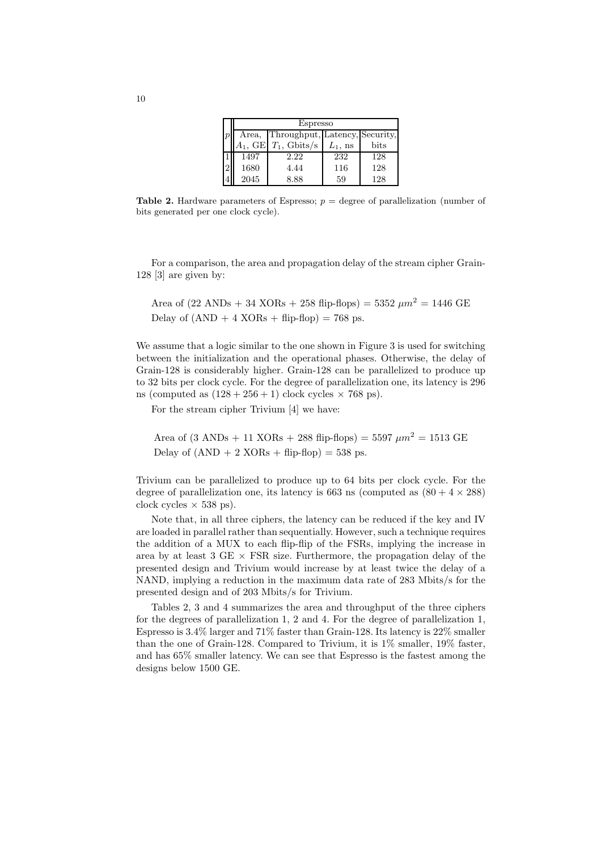| <b>Espresso</b> |                                |            |                  |  |
|-----------------|--------------------------------|------------|------------------|--|
| Area,           | Throughput, Latency, Security, |            |                  |  |
| $A_1$ , GE      | $T_1$ , Gbits/s                | $L_1$ , ns | $_{\text{bits}}$ |  |
| 1497            | 2.22                           | 232        | 128              |  |
| 1680            | 4.44                           | 116        | 128              |  |
| 2045            | 8.88                           | 59         | 128              |  |

**Table 2.** Hardware parameters of Espresso;  $p = \text{degree of parallelization (number of})$ bits generated per one clock cycle).

For a comparison, the area and propagation delay of the stream cipher Grain-128 [3] are given by:

Area of  $(22 \text{ ANDs} + 34 \text{ XORs} + 258 \text{ flip-flops}) = 5352 \mu m^2 = 1446 \text{ GE}$ Delay of  $(AND + 4 \text{ XORs} + \text{flip-flop}) = 768 \text{ ps}.$ 

We assume that a logic similar to the one shown in Figure 3 is used for switching between the initialization and the operational phases. Otherwise, the delay of Grain-128 is considerably higher. Grain-128 can be parallelized to produce up to 32 bits per clock cycle. For the degree of parallelization one, its latency is 296 ns (computed as  $(128 + 256 + 1)$  clock cycles  $\times$  768 ps).

For the stream cipher Trivium [4] we have:

Area of  $(3 \text{ ANDs} + 11 \text{ XORs} + 288 \text{ flip-flops}) = 5597 \mu m^2 = 1513 \text{ GE}$ Delay of  $(AND + 2 XORs + flip-flop) = 538 ps.$ 

Trivium can be parallelized to produce up to 64 bits per clock cycle. For the degree of parallelization one, its latency is 663 ns (computed as  $(80 + 4 \times 288)$ ) clock cycles  $\times$  538 ps).

Note that, in all three ciphers, the latency can be reduced if the key and IV are loaded in parallel rather than sequentially. However, such a technique requires the addition of a MUX to each flip-flip of the FSRs, implying the increase in area by at least  $3 \text{ GE} \times \text{FSR}$  size. Furthermore, the propagation delay of the presented design and Trivium would increase by at least twice the delay of a NAND, implying a reduction in the maximum data rate of 283 Mbits/s for the presented design and of 203 Mbits/s for Trivium.

Tables 2, 3 and 4 summarizes the area and throughput of the three ciphers for the degrees of parallelization 1, 2 and 4. For the degree of parallelization 1, Espresso is 3.4% larger and 71% faster than Grain-128. Its latency is 22% smaller than the one of Grain-128. Compared to Trivium, it is  $1\%$  smaller,  $19\%$  faster, and has 65% smaller latency. We can see that Espresso is the fastest among the designs below 1500 GE.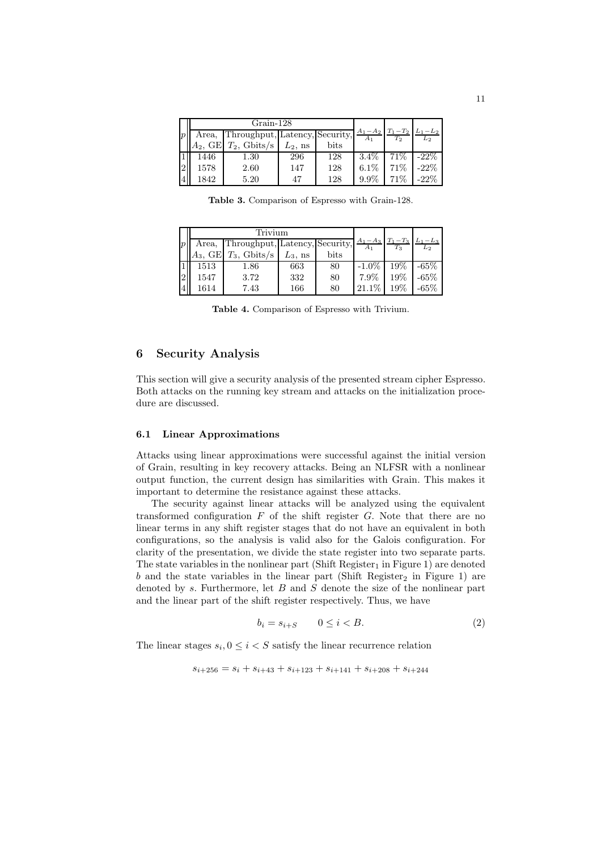| Grain-128 |                                      |            |               |         |                    |         |
|-----------|--------------------------------------|------------|---------------|---------|--------------------|---------|
|           | Area, Throughput, Latency, Security, |            |               |         | $\scriptstyle T_2$ | $L_2$   |
|           | $T_2$ , Gbits/s                      | $L_2$ , ns | $_{\rm bits}$ |         |                    |         |
| 1446      | 1.30                                 | 296        | 128           | $3.4\%$ | 71%                | $-22\%$ |
| 1578      | 2.60                                 | 147        | 128           | $6.1\%$ | 71\%               | $-22\%$ |
| 1842      | 5.20                                 | 47         | 128           | $9.9\%$ | 71%                | $-22\%$ |

Table 3. Comparison of Espresso with Grain-128.

|   | Trivium |                                      |            |      |             |     |                |
|---|---------|--------------------------------------|------------|------|-------------|-----|----------------|
|   |         | Area, Throughput, Latency, Security, |            |      | $A_1 - A_3$ |     | L <sub>2</sub> |
|   |         | $T_3$ , Gbits/s                      | $L_3$ , ns | bits |             |     |                |
|   | 1513    | 1.86                                 | 663        | 80   | $-1.0\%$    | 19% | $-65%$         |
|   | 1547    | 3.72                                 | 332        | 80   | 7.9%        | 19% | $-65%$         |
| 4 | 1614    | 7.43                                 | 166        | 80   | $21.1\%$    | 19% | $-65\%$        |

Table 4. Comparison of Espresso with Trivium.

## 6 Security Analysis

This section will give a security analysis of the presented stream cipher Espresso. Both attacks on the running key stream and attacks on the initialization procedure are discussed.

#### 6.1 Linear Approximations

Attacks using linear approximations were successful against the initial version of Grain, resulting in key recovery attacks. Being an NLFSR with a nonlinear output function, the current design has similarities with Grain. This makes it important to determine the resistance against these attacks.

The security against linear attacks will be analyzed using the equivalent transformed configuration  $F$  of the shift register  $G$ . Note that there are no linear terms in any shift register stages that do not have an equivalent in both configurations, so the analysis is valid also for the Galois configuration. For clarity of the presentation, we divide the state register into two separate parts. The state variables in the nonlinear part (Shift Register<sub>1</sub> in Figure 1) are denoted  $b$  and the state variables in the linear part (Shift Register<sub>2</sub> in Figure 1) are denoted by  $s$ . Furthermore, let  $B$  and  $S$  denote the size of the nonlinear part and the linear part of the shift register respectively. Thus, we have

$$
b_i = s_{i+S} \qquad 0 \le i < B. \tag{2}
$$

The linear stages  $s_i, 0 \leq i < S$  satisfy the linear recurrence relation

 $s_{i+256} = s_i + s_{i+43} + s_{i+123} + s_{i+141} + s_{i+208} + s_{i+244}$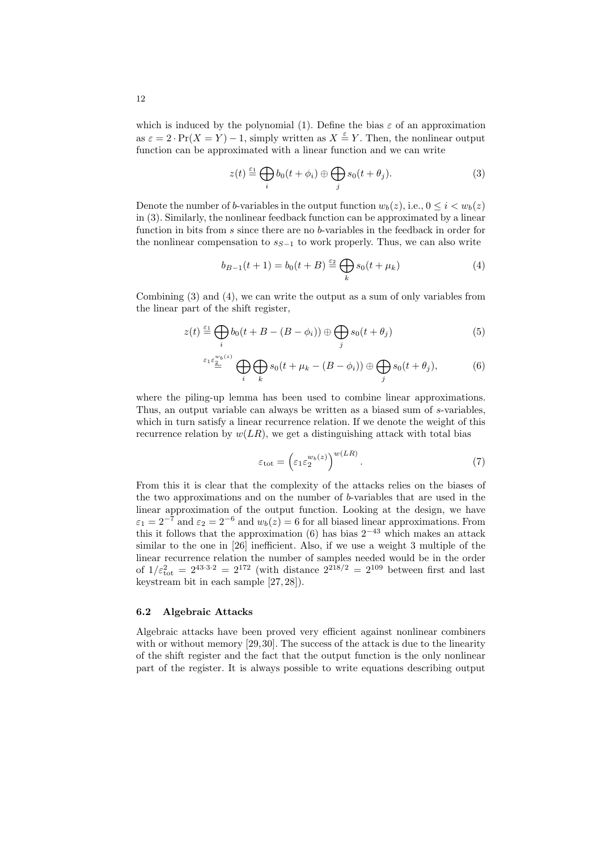which is induced by the polynomial (1). Define the bias  $\varepsilon$  of an approximation as  $\varepsilon = 2 \cdot \Pr(X = Y) - 1$ , simply written as  $X \stackrel{\varepsilon}{=} Y$ . Then, the nonlinear output function can be approximated with a linear function and we can write

$$
z(t) \stackrel{\varepsilon_1}{=} \bigoplus_i b_0(t + \phi_i) \oplus \bigoplus_j s_0(t + \theta_j).
$$
 (3)

Denote the number of b-variables in the output function  $w_b(z)$ , i.e.,  $0 \leq i \leq w_b(z)$ in (3). Similarly, the nonlinear feedback function can be approximated by a linear function in bits from s since there are no b-variables in the feedback in order for the nonlinear compensation to  $s_{S-1}$  to work properly. Thus, we can also write

$$
b_{B-1}(t+1) = b_0(t+B) \stackrel{\varepsilon_2}{=} \bigoplus_k s_0(t+\mu_k)
$$
 (4)

Combining (3) and (4), we can write the output as a sum of only variables from the linear part of the shift register,

$$
z(t) \stackrel{\varepsilon_1}{=} \bigoplus_i b_0(t + B - (B - \phi_i)) \oplus \bigoplus_j s_0(t + \theta_j)
$$
\n<sup>(5)</sup>

$$
\lim_{\varepsilon_1 \varepsilon_2^{w_b(z)}} \bigoplus_i \bigoplus_k s_0(t + \mu_k - (B - \phi_i)) \oplus \bigoplus_j s_0(t + \theta_j), \tag{6}
$$

where the piling-up lemma has been used to combine linear approximations. Thus, an output variable can always be written as a biased sum of s-variables, which in turn satisfy a linear recurrence relation. If we denote the weight of this recurrence relation by  $w(LR)$ , we get a distinguishing attack with total bias

$$
\varepsilon_{\text{tot}} = \left(\varepsilon_1 \varepsilon_2^{w_b(z)}\right)^{w(LR)}.\tag{7}
$$

From this it is clear that the complexity of the attacks relies on the biases of the two approximations and on the number of b-variables that are used in the linear approximation of the output function. Looking at the design, we have  $\varepsilon_1 = 2^{-7}$  and  $\varepsilon_2 = 2^{-6}$  and  $w_b(z) = 6$  for all biased linear approximations. From this it follows that the approximation (6) has bias  $2^{-43}$  which makes an attack similar to the one in [26] inefficient. Also, if we use a weight 3 multiple of the linear recurrence relation the number of samples needed would be in the order of  $1/\varepsilon_{\text{tot}}^2 = 2^{43\cdot3\cdot2} = 2^{172}$  (with distance  $2^{218/2} = 2^{109}$  between first and last keystream bit in each sample [27, 28]).

#### 6.2 Algebraic Attacks

Algebraic attacks have been proved very efficient against nonlinear combiners with or without memory [29,30]. The success of the attack is due to the linearity of the shift register and the fact that the output function is the only nonlinear part of the register. It is always possible to write equations describing output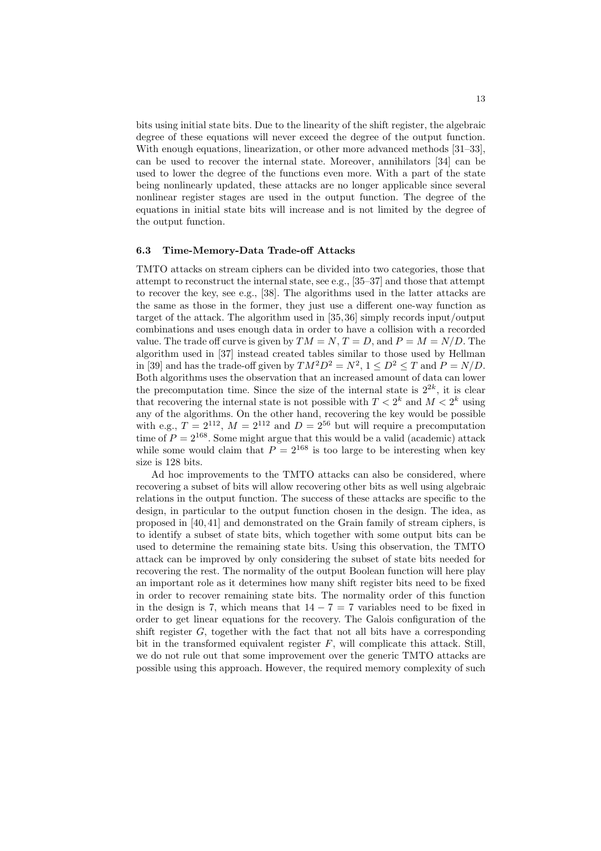bits using initial state bits. Due to the linearity of the shift register, the algebraic degree of these equations will never exceed the degree of the output function. With enough equations, linearization, or other more advanced methods [31–33], can be used to recover the internal state. Moreover, annihilators [34] can be used to lower the degree of the functions even more. With a part of the state being nonlinearly updated, these attacks are no longer applicable since several nonlinear register stages are used in the output function. The degree of the equations in initial state bits will increase and is not limited by the degree of the output function.

#### 6.3 Time-Memory-Data Trade-off Attacks

TMTO attacks on stream ciphers can be divided into two categories, those that attempt to reconstruct the internal state, see e.g., [35–37] and those that attempt to recover the key, see e.g., [38]. The algorithms used in the latter attacks are the same as those in the former, they just use a different one-way function as target of the attack. The algorithm used in [35, 36] simply records input/output combinations and uses enough data in order to have a collision with a recorded value. The trade off curve is given by  $TM = N$ ,  $T = D$ , and  $P = M = N/D$ . The algorithm used in [37] instead created tables similar to those used by Hellman in [39] and has the trade-off given by  $TM^2D^2 = N^2$ ,  $1 \leq D^2 \leq T$  and  $P = N/D$ . Both algorithms uses the observation that an increased amount of data can lower the precomputation time. Since the size of the internal state is  $2^{2k}$ , it is clear that recovering the internal state is not possible with  $T < 2^k$  and  $M < 2^k$  using any of the algorithms. On the other hand, recovering the key would be possible with e.g.,  $T = 2^{112}$ ,  $M = 2^{112}$  and  $D = 2^{56}$  but will require a precomputation time of  $P = 2^{168}$ . Some might argue that this would be a valid (academic) attack while some would claim that  $P = 2^{168}$  is too large to be interesting when key size is 128 bits.

Ad hoc improvements to the TMTO attacks can also be considered, where recovering a subset of bits will allow recovering other bits as well using algebraic relations in the output function. The success of these attacks are specific to the design, in particular to the output function chosen in the design. The idea, as proposed in [40, 41] and demonstrated on the Grain family of stream ciphers, is to identify a subset of state bits, which together with some output bits can be used to determine the remaining state bits. Using this observation, the TMTO attack can be improved by only considering the subset of state bits needed for recovering the rest. The normality of the output Boolean function will here play an important role as it determines how many shift register bits need to be fixed in order to recover remaining state bits. The normality order of this function in the design is 7, which means that  $14 - 7 = 7$  variables need to be fixed in order to get linear equations for the recovery. The Galois configuration of the shift register  $G$ , together with the fact that not all bits have a corresponding bit in the transformed equivalent register  $F$ , will complicate this attack. Still, we do not rule out that some improvement over the generic TMTO attacks are possible using this approach. However, the required memory complexity of such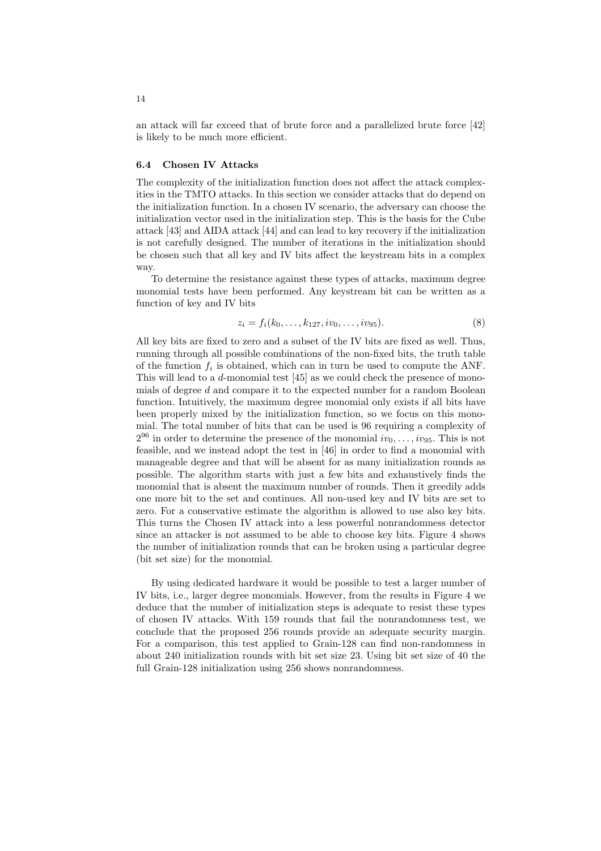an attack will far exceed that of brute force and a parallelized brute force [42] is likely to be much more efficient.

#### 6.4 Chosen IV Attacks

The complexity of the initialization function does not affect the attack complexities in the TMTO attacks. In this section we consider attacks that do depend on the initialization function. In a chosen IV scenario, the adversary can choose the initialization vector used in the initialization step. This is the basis for the Cube attack [43] and AIDA attack [44] and can lead to key recovery if the initialization is not carefully designed. The number of iterations in the initialization should be chosen such that all key and IV bits affect the keystream bits in a complex way.

To determine the resistance against these types of attacks, maximum degree monomial tests have been performed. Any keystream bit can be written as a function of key and IV bits

$$
z_i = f_i(k_0, \dots, k_{127}, iv_0, \dots, iv_{95}).
$$
\n(8)

All key bits are fixed to zero and a subset of the IV bits are fixed as well. Thus, running through all possible combinations of the non-fixed bits, the truth table of the function  $f_i$  is obtained, which can in turn be used to compute the ANF. This will lead to a d-monomial test [45] as we could check the presence of monomials of degree d and compare it to the expected number for a random Boolean function. Intuitively, the maximum degree monomial only exists if all bits have been properly mixed by the initialization function, so we focus on this monomial. The total number of bits that can be used is 96 requiring a complexity of  $2^{96}$  in order to determine the presence of the monomial  $iv_0, \ldots, iv_{95}$ . This is not feasible, and we instead adopt the test in [46] in order to find a monomial with manageable degree and that will be absent for as many initialization rounds as possible. The algorithm starts with just a few bits and exhaustively finds the monomial that is absent the maximum number of rounds. Then it greedily adds one more bit to the set and continues. All non-used key and IV bits are set to zero. For a conservative estimate the algorithm is allowed to use also key bits. This turns the Chosen IV attack into a less powerful nonrandomness detector since an attacker is not assumed to be able to choose key bits. Figure 4 shows the number of initialization rounds that can be broken using a particular degree (bit set size) for the monomial.

By using dedicated hardware it would be possible to test a larger number of IV bits, i.e., larger degree monomials. However, from the results in Figure 4 we deduce that the number of initialization steps is adequate to resist these types of chosen IV attacks. With 159 rounds that fail the nonrandomness test, we conclude that the proposed 256 rounds provide an adequate security margin. For a comparison, this test applied to Grain-128 can find non-randomness in about 240 initialization rounds with bit set size 23. Using bit set size of 40 the full Grain-128 initialization using 256 shows nonrandomness.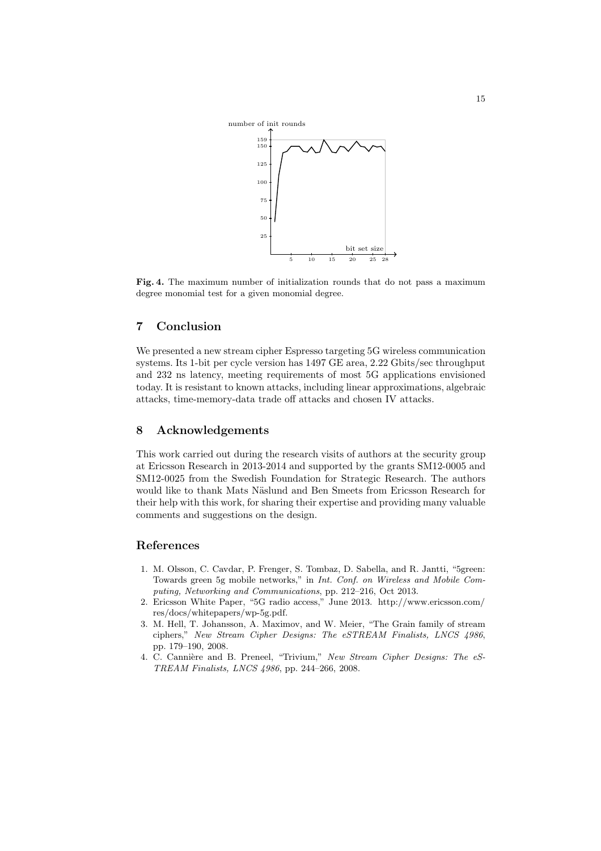

Fig. 4. The maximum number of initialization rounds that do not pass a maximum degree monomial test for a given monomial degree.

## 7 Conclusion

We presented a new stream cipher Espresso targeting 5G wireless communication systems. Its 1-bit per cycle version has 1497 GE area, 2.22 Gbits/sec throughput and 232 ns latency, meeting requirements of most 5G applications envisioned today. It is resistant to known attacks, including linear approximations, algebraic attacks, time-memory-data trade off attacks and chosen IV attacks.

## 8 Acknowledgements

This work carried out during the research visits of authors at the security group at Ericsson Research in 2013-2014 and supported by the grants SM12-0005 and SM12-0025 from the Swedish Foundation for Strategic Research. The authors would like to thank Mats Näslund and Ben Smeets from Ericsson Research for their help with this work, for sharing their expertise and providing many valuable comments and suggestions on the design.

### References

- 1. M. Olsson, C. Cavdar, P. Frenger, S. Tombaz, D. Sabella, and R. Jantti, "5green: Towards green 5g mobile networks," in *Int. Conf. on Wireless and Mobile Computing, Networking and Communications*, pp. 212–216, Oct 2013.
- 2. Ericsson White Paper, "5G radio access," June 2013. http://www.ericsson.com/ res/docs/whitepapers/wp-5g.pdf.
- 3. M. Hell, T. Johansson, A. Maximov, and W. Meier, "The Grain family of stream ciphers," *New Stream Cipher Designs: The eSTREAM Finalists, LNCS 4986*, pp. 179–190, 2008.
- 4. C. Cannière and B. Preneel, "Trivium," *New Stream Cipher Designs: The eS-TREAM Finalists, LNCS 4986*, pp. 244–266, 2008.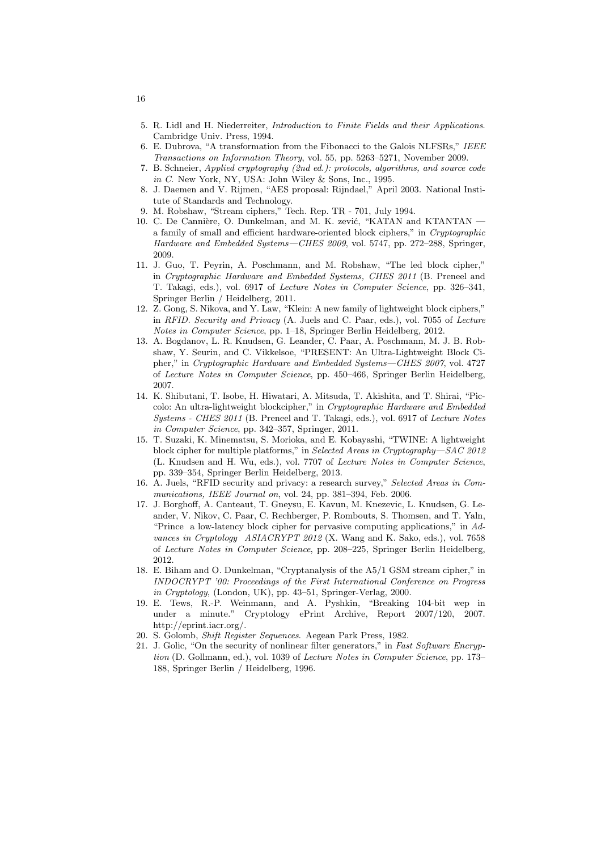- 5. R. Lidl and H. Niederreiter, *Introduction to Finite Fields and their Applications*. Cambridge Univ. Press, 1994.
- 6. E. Dubrova, "A transformation from the Fibonacci to the Galois NLFSRs," *IEEE Transactions on Information Theory*, vol. 55, pp. 5263–5271, November 2009.
- 7. B. Schneier, *Applied cryptography (2nd ed.): protocols, algorithms, and source code in C*. New York, NY, USA: John Wiley & Sons, Inc., 1995.
- 8. J. Daemen and V. Rijmen, "AES proposal: Rijndael," April 2003. National Institute of Standards and Technology.
- 9. M. Robshaw, "Stream ciphers," Tech. Rep. TR 701, July 1994.
- 10. C. De Cannière, O. Dunkelman, and M. K. zević, "KATAN and KTANTAN a family of small and efficient hardware-oriented block ciphers," in *Cryptographic Hardware and Embedded Systems—CHES 2009*, vol. 5747, pp. 272–288, Springer, 2009.
- 11. J. Guo, T. Peyrin, A. Poschmann, and M. Robshaw, "The led block cipher," in *Cryptographic Hardware and Embedded Systems, CHES 2011* (B. Preneel and T. Takagi, eds.), vol. 6917 of *Lecture Notes in Computer Science*, pp. 326–341, Springer Berlin / Heidelberg, 2011.
- 12. Z. Gong, S. Nikova, and Y. Law, "Klein: A new family of lightweight block ciphers," in *RFID. Security and Privacy* (A. Juels and C. Paar, eds.), vol. 7055 of *Lecture Notes in Computer Science*, pp. 1–18, Springer Berlin Heidelberg, 2012.
- 13. A. Bogdanov, L. R. Knudsen, G. Leander, C. Paar, A. Poschmann, M. J. B. Robshaw, Y. Seurin, and C. Vikkelsoe, "PRESENT: An Ultra-Lightweight Block Cipher," in *Cryptographic Hardware and Embedded Systems—CHES 2007*, vol. 4727 of *Lecture Notes in Computer Science*, pp. 450–466, Springer Berlin Heidelberg, 2007.
- 14. K. Shibutani, T. Isobe, H. Hiwatari, A. Mitsuda, T. Akishita, and T. Shirai, "Piccolo: An ultra-lightweight blockcipher," in *Cryptographic Hardware and Embedded Systems - CHES 2011* (B. Preneel and T. Takagi, eds.), vol. 6917 of *Lecture Notes in Computer Science*, pp. 342–357, Springer, 2011.
- 15. T. Suzaki, K. Minematsu, S. Morioka, and E. Kobayashi, "TWINE: A lightweight block cipher for multiple platforms," in *Selected Areas in Cryptography—SAC 2012* (L. Knudsen and H. Wu, eds.), vol. 7707 of *Lecture Notes in Computer Science*, pp. 339–354, Springer Berlin Heidelberg, 2013.
- 16. A. Juels, "RFID security and privacy: a research survey," *Selected Areas in Communications, IEEE Journal on*, vol. 24, pp. 381–394, Feb. 2006.
- 17. J. Borghoff, A. Canteaut, T. Gneysu, E. Kavun, M. Knezevic, L. Knudsen, G. Leander, V. Nikov, C. Paar, C. Rechberger, P. Rombouts, S. Thomsen, and T. Yaln, "Prince a low-latency block cipher for pervasive computing applications," in *Advances in Cryptology ASIACRYPT 2012* (X. Wang and K. Sako, eds.), vol. 7658 of *Lecture Notes in Computer Science*, pp. 208–225, Springer Berlin Heidelberg, 2012.
- 18. E. Biham and O. Dunkelman, "Cryptanalysis of the A5/1 GSM stream cipher," in *INDOCRYPT '00: Proceedings of the First International Conference on Progress in Cryptology*, (London, UK), pp. 43–51, Springer-Verlag, 2000.
- 19. E. Tews, R.-P. Weinmann, and A. Pyshkin, "Breaking 104-bit wep in under a minute." Cryptology ePrint Archive, Report 2007/120, 2007. http://eprint.iacr.org/.
- 20. S. Golomb, *Shift Register Sequences*. Aegean Park Press, 1982.
- 21. J. Golic, "On the security of nonlinear filter generators," in *Fast Software Encryption* (D. Gollmann, ed.), vol. 1039 of *Lecture Notes in Computer Science*, pp. 173– 188, Springer Berlin / Heidelberg, 1996.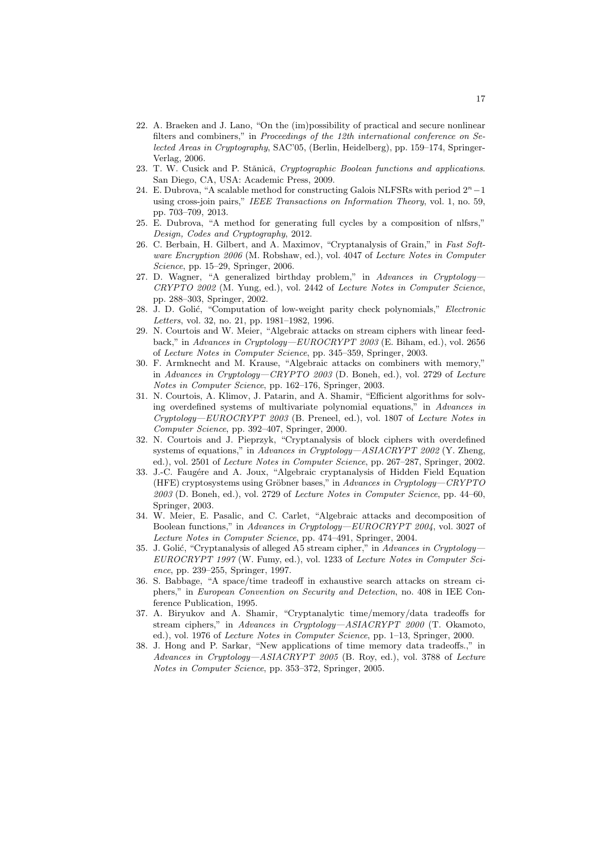- 22. A. Braeken and J. Lano, "On the (im)possibility of practical and secure nonlinear filters and combiners," in *Proceedings of the 12th international conference on Selected Areas in Cryptography*, SAC'05, (Berlin, Heidelberg), pp. 159–174, Springer-Verlag, 2006.
- 23. T. W. Cusick and P. Stănică, *Cryptographic Boolean functions and applications*. San Diego, CA, USA: Academic Press, 2009.
- 24. E. Dubrova, "A scalable method for constructing Galois NLFSRs with period  $2<sup>n</sup> 1$ using cross-join pairs," *IEEE Transactions on Information Theory*, vol. 1, no. 59, pp. 703–709, 2013.
- 25. E. Dubrova, "A method for generating full cycles by a composition of nlfsrs," *Design, Codes and Cryptography*, 2012.
- 26. C. Berbain, H. Gilbert, and A. Maximov, "Cryptanalysis of Grain," in *Fast Software Encryption 2006* (M. Robshaw, ed.), vol. 4047 of *Lecture Notes in Computer Science*, pp. 15–29, Springer, 2006.
- 27. D. Wagner, "A generalized birthday problem," in *Advances in Cryptology— CRYPTO 2002* (M. Yung, ed.), vol. 2442 of *Lecture Notes in Computer Science*, pp. 288–303, Springer, 2002.
- 28. J. D. Goli´c, "Computation of low-weight parity check polynomials," *Electronic Letters*, vol. 32, no. 21, pp. 1981–1982, 1996.
- 29. N. Courtois and W. Meier, "Algebraic attacks on stream ciphers with linear feedback," in *Advances in Cryptology—EUROCRYPT 2003* (E. Biham, ed.), vol. 2656 of *Lecture Notes in Computer Science*, pp. 345–359, Springer, 2003.
- 30. F. Armknecht and M. Krause, "Algebraic attacks on combiners with memory," in *Advances in Cryptology—CRYPTO 2003* (D. Boneh, ed.), vol. 2729 of *Lecture Notes in Computer Science*, pp. 162–176, Springer, 2003.
- 31. N. Courtois, A. Klimov, J. Patarin, and A. Shamir, "Efficient algorithms for solving overdefined systems of multivariate polynomial equations," in *Advances in Cryptology—EUROCRYPT 2003* (B. Preneel, ed.), vol. 1807 of *Lecture Notes in Computer Science*, pp. 392–407, Springer, 2000.
- 32. N. Courtois and J. Pieprzyk, "Cryptanalysis of block ciphers with overdefined systems of equations," in *Advances in Cryptology—ASIACRYPT 2002* (Y. Zheng, ed.), vol. 2501 of *Lecture Notes in Computer Science*, pp. 267–287, Springer, 2002.
- 33. J.-C. Faugére and A. Joux, "Algebraic cryptanalysis of Hidden Field Equation (HFE) cryptosystems using Gröbner bases," in *Advances in Cryptology—CRYPTO 2003* (D. Boneh, ed.), vol. 2729 of *Lecture Notes in Computer Science*, pp. 44–60, Springer, 2003.
- 34. W. Meier, E. Pasalic, and C. Carlet, "Algebraic attacks and decomposition of Boolean functions," in *Advances in Cryptology—EUROCRYPT 2004*, vol. 3027 of *Lecture Notes in Computer Science*, pp. 474–491, Springer, 2004.
- 35. J. Goli´c, "Cryptanalysis of alleged A5 stream cipher," in *Advances in Cryptology— EUROCRYPT 1997* (W. Fumy, ed.), vol. 1233 of *Lecture Notes in Computer Science*, pp. 239–255, Springer, 1997.
- 36. S. Babbage, "A space/time tradeoff in exhaustive search attacks on stream ciphers," in *European Convention on Security and Detection*, no. 408 in IEE Conference Publication, 1995.
- 37. A. Biryukov and A. Shamir, "Cryptanalytic time/memory/data tradeoffs for stream ciphers," in *Advances in Cryptology—ASIACRYPT 2000* (T. Okamoto, ed.), vol. 1976 of *Lecture Notes in Computer Science*, pp. 1–13, Springer, 2000.
- 38. J. Hong and P. Sarkar, "New applications of time memory data tradeoffs.," in *Advances in Cryptology—ASIACRYPT 2005* (B. Roy, ed.), vol. 3788 of *Lecture Notes in Computer Science*, pp. 353–372, Springer, 2005.